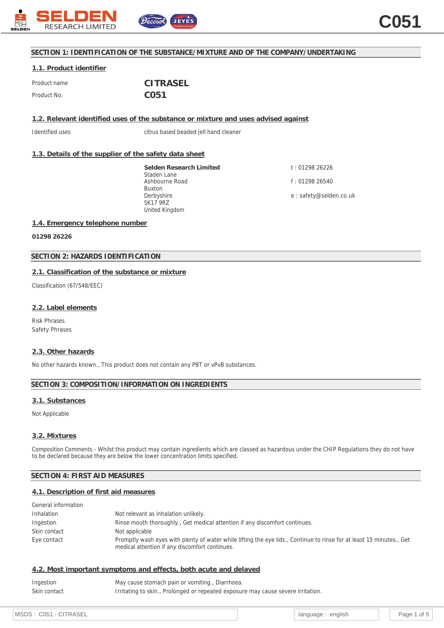

## **SECTION 1: IDENTIFICATION OF THE SUBSTANCE/MIXTURE AND OF THE COMPANY/UNDERTAKING**

# **1.1. Product identifier**

| Product name | <b>CITRASEL</b>  |  |  |
|--------------|------------------|--|--|
| Product No.  | C <sub>051</sub> |  |  |

**1.2. Relevant identified uses of the substance or mixture and uses advised against**

Identified uses citrus based beaded jell hand cleaner

## **1.3. Details of the supplier of the safety data sheet**

**Selden Research Limited** Staden Lane Ashbourne Road Buxton Derbyshire SK17 9RZ United Kingdom

t : 01298 26226 f : 01298 26540

e : safety@selden.co.uk

## **1.4. Emergency telephone number**

**01298 26226**

## **SECTION 2: HAZARDS IDENTIFICATION**

## **2.1. Classification of the substance or mixture**

Classification (67/548/EEC)

#### **2.2. Label elements**

Risk Phrases Safety Phrases

## **2.3. Other hazards**

No other hazards known., This product does not contain any PBT or vPvB substances.

## **SECTION 3: COMPOSITION/INFORMATION ON INGREDIENTS**

#### **3.1. Substances**

Not Applicable

## **3.2. Mixtures**

Composition Comments - Whilst this product may contain ingredients which are classed as hazardous under the CHIP Regulations they do not have to be declared because they are below the lower concentration limits specified.

## **SECTION 4: FIRST AID MEASURES**

## **4.1. Description of first aid measures**

| General information |                                                                                                                                                                        |
|---------------------|------------------------------------------------------------------------------------------------------------------------------------------------------------------------|
| Inhalation          | Not relevant as inhalation unlikely.                                                                                                                                   |
| Ingestion           | Rinse mouth thoroughly., Get medical attention if any discomfort continues.                                                                                            |
| Skin contact        | Not applicable                                                                                                                                                         |
| Eye contact         | Promptly wash eyes with plenty of water while lifting the eye lids., Continue to rinse for at least 15 minutes., Get<br>medical attention if any discomfort continues. |

## **4.2. Most important symptoms and effects, both acute and delayed**

| Ingestion    | May cause stomach pain or vomiting., Diarrhoea.                                  |
|--------------|----------------------------------------------------------------------------------|
| Skin contact | Irritating to skin., Prolonged or repeated exposure may cause severe irritation. |

MSDS : C051 - CITRASEL **Research CITRASEL Research CITRASEL** language : english Page 1 of 5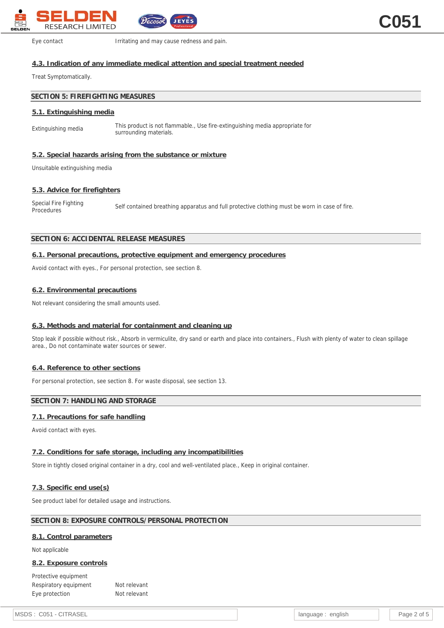

Eye contact **Irritating and may cause redness and pain.** 

## **4.3. Indication of any immediate medical attention and special treatment needed**

Treat Symptomatically.

## **SECTION 5: FIREFIGHTING MEASURES**

#### **5.1. Extinguishing media**

Extinguishing media This product is not flammable., Use fire-extinguishing media appropriate for surrounding materials.

## **5.2. Special hazards arising from the substance or mixture**

Unsuitable extinguishing media

#### **5.3. Advice for firefighters**

Special Fire Fighting<br>Procedures Self contained breathing apparatus and full protective clothing must be worn in case of fire.

## **SECTION 6: ACCIDENTAL RELEASE MEASURES**

#### **6.1. Personal precautions, protective equipment and emergency procedures**

Avoid contact with eyes., For personal protection, see section 8.

#### **6.2. Environmental precautions**

Not relevant considering the small amounts used.

## **6.3. Methods and material for containment and cleaning up**

Stop leak if possible without risk., Absorb in vermiculite, dry sand or earth and place into containers., Flush with plenty of water to clean spillage area., Do not contaminate water sources or sewer.

## **6.4. Reference to other sections**

For personal protection, see section 8. For waste disposal, see section 13.

## **SECTION 7: HANDLING AND STORAGE**

## **7.1. Precautions for safe handling**

Avoid contact with eyes.

## **7.2. Conditions for safe storage, including any incompatibilities**

Store in tightly closed original container in a dry, cool and well-ventilated place., Keep in original container.

## **7.3. Specific end use(s)**

See product label for detailed usage and instructions.

## **SECTION 8: EXPOSURE CONTROLS/PERSONAL PROTECTION**

#### **8.1. Control parameters**

Not applicable

#### **8.2. Exposure controls**

Protective equipment Respiratory equipment Not relevant Eye protection Not relevant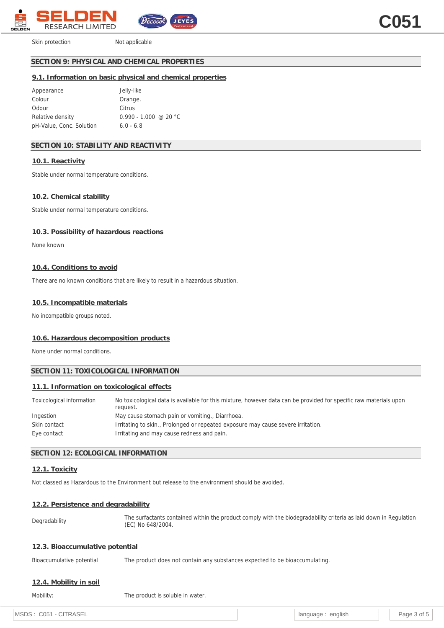

Skin protection Not applicable

## **SECTION 9: PHYSICAL AND CHEMICAL PROPERTIES**

## **9.1. Information on basic physical and chemical properties**

| Appearance               | Jelly-like                |
|--------------------------|---------------------------|
| Colour                   | Orange.                   |
| Odour                    | Citrus                    |
| Relative density         | $0.990 - 1.000 \ @ 20 °C$ |
| pH-Value, Conc. Solution | $6.0 - 6.8$               |

## **SECTION 10: STABILITY AND REACTIVITY**

#### **10.1. Reactivity**

Stable under normal temperature conditions.

#### **10.2. Chemical stability**

Stable under normal temperature conditions.

#### **10.3. Possibility of hazardous reactions**

None known

#### **10.4. Conditions to avoid**

There are no known conditions that are likely to result in a hazardous situation.

#### **10.5. Incompatible materials**

No incompatible groups noted.

#### **10.6. Hazardous decomposition products**

None under normal conditions.

## **SECTION 11: TOXICOLOGICAL INFORMATION**

## **11.1. Information on toxicological effects**

| Toxicological information | No toxicological data is available for this mixture, however data can be provided for specific raw materials upon<br>reauest. |
|---------------------------|-------------------------------------------------------------------------------------------------------------------------------|
| Ingestion                 | May cause stomach pain or vomiting., Diarrhoea.                                                                               |
| Skin contact              | Irritating to skin., Prolonged or repeated exposure may cause severe irritation.                                              |
| Eye contact               | Irritating and may cause redness and pain.                                                                                    |

## **SECTION 12: ECOLOGICAL INFORMATION**

## **12.1. Toxicity**

Not classed as Hazardous to the Environment but release to the environment should be avoided.

#### **12.2. Persistence and degradability**

Degradability The surfactants contained within the product comply with the biodegradability criteria as laid down in Regulation (EC) No 648/2004.

## **12.3. Bioaccumulative potential**

Bioaccumulative potential The product does not contain any substances expected to be bioaccumulating.

## **12.4. Mobility in soil**

Mobility: Mobility: The product is soluble in water.

MSDS : C051 - CITRASEL PAGE 2 OF 5 AND 100 - CITRASEL 2 OF 5 AND 100 - 2 OF 5 AND 100 - 2 OF 5 AND 100 - 2 OF 5 AND 100 - 2 OF 5 AND 100 - 2 OF 5 AND 100 - 2 OF 5 AND 100 - 2 OF 5 AND 100 - 2 OF 5 AND 100 - 2 OF 5 AND 100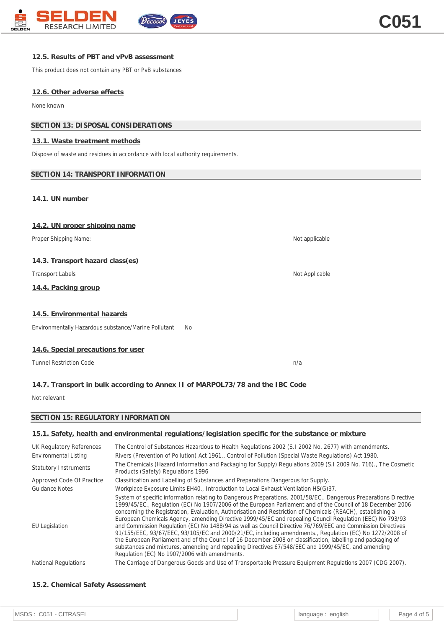

## **12.5. Results of PBT and vPvB assessment**

This product does not contain any PBT or PvB substances

#### **12.6. Other adverse effects**

None known

## **SECTION 13: DISPOSAL CONSIDERATIONS**

#### **13.1. Waste treatment methods**

Dispose of waste and residues in accordance with local authority requirements.

## **SECTION 14: TRANSPORT INFORMATION**

**14.1. UN number**

| 14.2. UN proper shipping name                                                 |                |  |
|-------------------------------------------------------------------------------|----------------|--|
| Proper Shipping Name:                                                         | Not applicable |  |
|                                                                               |                |  |
| 14.3. Transport hazard class(es)                                              |                |  |
| <b>Transport Labels</b>                                                       | Not Applicable |  |
| 14.4. Packing group                                                           |                |  |
|                                                                               |                |  |
| 14.5. Environmental hazards                                                   |                |  |
| Environmentally Hazardous substance/Marine Pollutant<br>No                    |                |  |
|                                                                               |                |  |
| 14.6. Special precautions for user                                            |                |  |
| <b>Tunnel Restriction Code</b>                                                | n/a            |  |
|                                                                               |                |  |
| 14.7. Transport in bulk according to Annex II of MARPOL73/78 and the IBC Code |                |  |

Not relevant

## **SECTION 15: REGULATORY INFORMATION**

## **15.1. Safety, health and environmental regulations/legislation specific for the substance or mixture**

| UK Regulatory References<br>Environmental Listing | The Control of Substances Hazardous to Health Regulations 2002 (S.1 2002 No. 2677) with amendments.<br>Rivers (Prevention of Pollution) Act 1961., Control of Pollution (Special Waste Regulations) Act 1980.<br>The Chemicals (Hazard Information and Packaging for Supply) Regulations 2009 (S.I 2009 No. 716)., The Cosmetic                                                                                                                                                                                                                                                                                                                                                                                                                                                                                                                                                                                                                              |
|---------------------------------------------------|--------------------------------------------------------------------------------------------------------------------------------------------------------------------------------------------------------------------------------------------------------------------------------------------------------------------------------------------------------------------------------------------------------------------------------------------------------------------------------------------------------------------------------------------------------------------------------------------------------------------------------------------------------------------------------------------------------------------------------------------------------------------------------------------------------------------------------------------------------------------------------------------------------------------------------------------------------------|
| <b>Statutory Instruments</b>                      | Products (Safety) Regulations 1996                                                                                                                                                                                                                                                                                                                                                                                                                                                                                                                                                                                                                                                                                                                                                                                                                                                                                                                           |
| Approved Code Of Practice                         | Classification and Labelling of Substances and Preparations Dangerous for Supply.                                                                                                                                                                                                                                                                                                                                                                                                                                                                                                                                                                                                                                                                                                                                                                                                                                                                            |
| Guidance Notes                                    | Workplace Exposure Limits EH40., Introduction to Local Exhaust Ventilation HS(G)37.                                                                                                                                                                                                                                                                                                                                                                                                                                                                                                                                                                                                                                                                                                                                                                                                                                                                          |
| <b>EU Legislation</b>                             | System of specific information relating to Dangerous Preparations. 2001/58/EC., Dangerous Preparations Directive<br>1999/45/EC., Regulation (EC) No 1907/2006 of the European Parliament and of the Council of 18 December 2006<br>concerning the Registration, Evaluation, Authorisation and Restriction of Chemicals (REACH), establishing a<br>European Chemicals Agency, amending Directive 1999/45/EC and repealing Council Regulation (EEC) No 793/93<br>and Commission Regulation (EC) No 1488/94 as well as Council Directive 76/769/EEC and Commission Directives<br>91/155/EEC, 93/67/EEC, 93/105/EC and 2000/21/EC, including amendments., Regulation (EC) No 1272/2008 of<br>the European Parliament and of the Council of 16 December 2008 on classification, labelling and packaging of<br>substances and mixtures, amending and repealing Directives 67/548/EEC and 1999/45/EC, and amending<br>Regulation (EC) No 1907/2006 with amendments. |
| <b>National Regulations</b>                       | The Carriage of Dangerous Goods and Use of Transportable Pressure Equipment Regulations 2007 (CDG 2007).                                                                                                                                                                                                                                                                                                                                                                                                                                                                                                                                                                                                                                                                                                                                                                                                                                                     |

## **15.2. Chemical Safety Assessment**

| MSDS: C051 - CITRASEL |  | language : english |  | Page 4 of 5 |
|-----------------------|--|--------------------|--|-------------|
|-----------------------|--|--------------------|--|-------------|